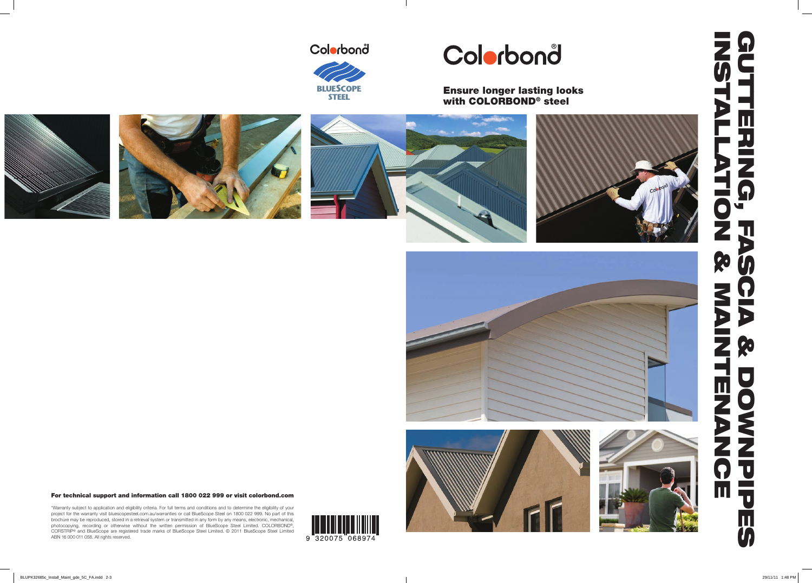For technical support and information call 1800 022 999 or visit colorbond.com

# guttering, FASCIA & DOWNPIPES installation & maintenance 9 Ш カフスの  $\bullet$ W  $\mathbf{u}$  $\blacktriangleright$ Ro  $J_{\rm l}$ 7 D  $\blacktriangleright$ Ro **TENA** DOWN P T  $\blacksquare$ Ш **U**

\*Warranty subject to application and eligibility criteria. For full terms and conditions and to determine the eligibility of your project for the warranty visit bluescopesteel.com.au/warranties or call BlueScope Steel on 1800 022 999. No part of this brochure may be reproduced, stored in a retrieval system or transmitted in any form by any means, electronic, mechanical, photocopying, recording or otherwise without the written permission of BlueScope Steel Limited. COLORBOND®, CORSTRIP ® and BlueScope are registered trade marks of BlueScope Steel Limited. © 2011 BlueScope Steel Limited ABN 16 000 011 058. All rights reserved.







# Colorbond

 $\mathbb{R}$ 



# Colorbond

Ensure longer lasting looks with COLORBOND® steel